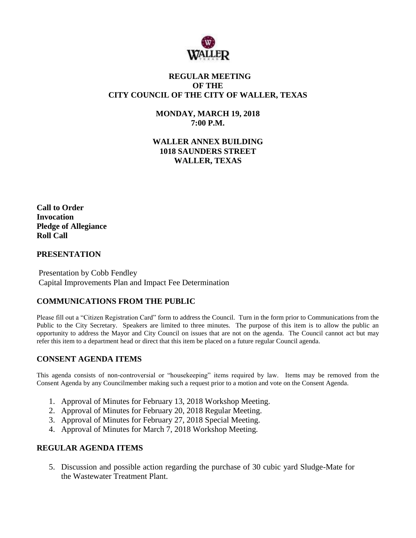

## **REGULAR MEETING OF THE CITY COUNCIL OF THE CITY OF WALLER, TEXAS**

**MONDAY, MARCH 19, 2018 7:00 P.M.**

**WALLER ANNEX BUILDING 1018 SAUNDERS STREET WALLER, TEXAS**

**Call to Order Invocation Pledge of Allegiance Roll Call**

#### **PRESENTATION**

Presentation by Cobb Fendley Capital Improvements Plan and Impact Fee Determination

#### **COMMUNICATIONS FROM THE PUBLIC**

Please fill out a "Citizen Registration Card" form to address the Council. Turn in the form prior to Communications from the Public to the City Secretary. Speakers are limited to three minutes. The purpose of this item is to allow the public an opportunity to address the Mayor and City Council on issues that are not on the agenda. The Council cannot act but may refer this item to a department head or direct that this item be placed on a future regular Council agenda.

#### **CONSENT AGENDA ITEMS**

This agenda consists of non-controversial or "housekeeping" items required by law. Items may be removed from the Consent Agenda by any Councilmember making such a request prior to a motion and vote on the Consent Agenda.

- 1. Approval of Minutes for February 13, 2018 Workshop Meeting.
- 2. Approval of Minutes for February 20, 2018 Regular Meeting.
- 3. Approval of Minutes for February 27, 2018 Special Meeting.
- 4. Approval of Minutes for March 7, 2018 Workshop Meeting.

#### **REGULAR AGENDA ITEMS**

5. Discussion and possible action regarding the purchase of 30 cubic yard Sludge-Mate for the Wastewater Treatment Plant.